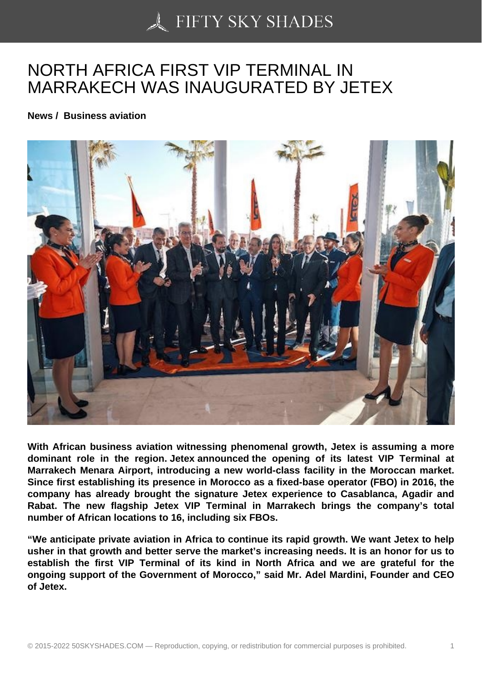## [NORTH AFRICA FIRS](https://50skyshades.com)T VIP TERMINAL IN MARRAKECH WAS INAUGURATED BY JETEX

News / Business aviation

With African business aviation witnessing phenomenal growth, Jetex is assuming a more dominant role in the region. Jetex announced the opening of its latest VIP Terminal at Marrakech Menara Airport, introducing a new world-class facility in the Moroccan market. Since first establishing its presence in Morocco as a fixed-base operator (FBO) in 2016, the company has already brought the signature Jetex experience to Casablanca, Agadir and Rabat. The new flagship Jetex VIP Terminal in Marrakech brings the company's total number of African locations to 16, including six FBOs.

"We anticipate private aviation in Africa to continue its rapid growth. We want Jetex to help usher in that growth and better serve the market's increasing needs. It is an honor for us to establish the first VIP Terminal of its kind in North Africa and we are grateful for the ongoing support of the Government of Morocco," said Mr. Adel Mardini, Founder and CEO of Jetex.